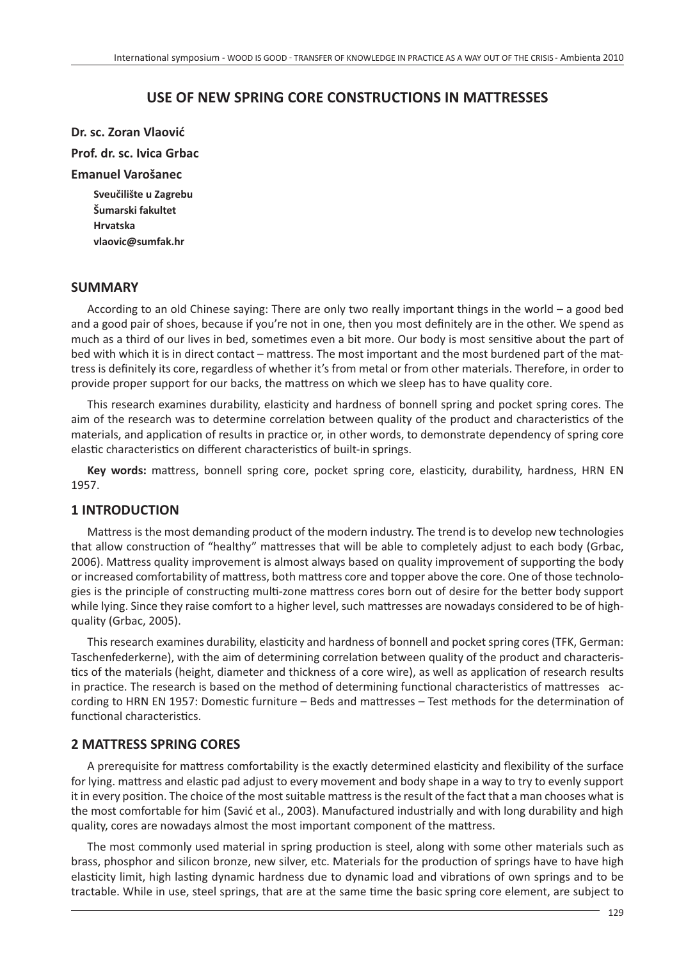# **USE OF NEW SPRING CORE CONSTRUCTIONS IN MATTRESSES**

**Dr. sc. Zoran Vlaović**

**Prof. dr. sc. Ivica Grbac**

#### **Emanuel Varošanec**

**Sveučilište u Zagrebu Šumarski fakultet Hrvatska vlaovic@sumfak.hr**

### **SUMMARY**

According to an old Chinese saying: There are only two really important things in the world – a good bed and a good pair of shoes, because if you're not in one, then you most definitely are in the other. We spend as much as a third of our lives in bed, sometimes even a bit more. Our body is most sensitive about the part of bed with which it is in direct contact – mattress. The most important and the most burdened part of the mattress is definitely its core, regardless of whether it's from metal or from other materials. Therefore, in order to provide proper support for our backs, the mattress on which we sleep has to have quality core.

This research examines durability, elasticity and hardness of bonnell spring and pocket spring cores. The aim of the research was to determine correlation between quality of the product and characteristics of the materials, and application of results in practice or, in other words, to demonstrate dependency of spring core elastic characteristics on different characteristics of built-in springs.

Key words: mattress, bonnell spring core, pocket spring core, elasticity, durability, hardness, HRN EN 1957.

# **1 INTRODUCTION**

Mattress is the most demanding product of the modern industry. The trend is to develop new technologies that allow construction of "healthy" mattresses that will be able to completely adjust to each body (Grbac, 2006). Mattress quality improvement is almost always based on quality improvement of supporting the body or increased comfortability of mattress, both mattress core and topper above the core. One of those technologies is the principle of constructing multi-zone mattress cores born out of desire for the better body support while lying. Since they raise comfort to a higher level, such mattresses are nowadays considered to be of highquality (Grbac, 2005).

This research examines durability, elasticity and hardness of bonnell and pocket spring cores (TFK, German: Taschenfederkerne), with the aim of determining correlation between quality of the product and characteristics of the materials (height, diameter and thickness of a core wire), as well as application of research results in practice. The research is based on the method of determining functional characteristics of mattresses according to HRN EN 1957: Domestic furniture – Beds and mattresses – Test methods for the determination of functional characteristics.

# **2 MATTRESS SPRING CORES**

A prerequisite for mattress comfortability is the exactly determined elasticity and flexibility of the surface for lying, mattress and elastic pad adjust to every movement and body shape in a way to try to evenly support it in every position. The choice of the most suitable mattress is the result of the fact that a man chooses what is the most comfortable for him (Savić et al., 2003). Manufactured industrially and with long durability and high quality, cores are nowadays almost the most important component of the mattress.

The most commonly used material in spring production is steel, along with some other materials such as brass, phosphor and silicon bronze, new silver, etc. Materials for the production of springs have to have high elasticity limit, high lasting dynamic hardness due to dynamic load and vibrations of own springs and to be tractable. While in use, steel springs, that are at the same time the basic spring core element, are subject to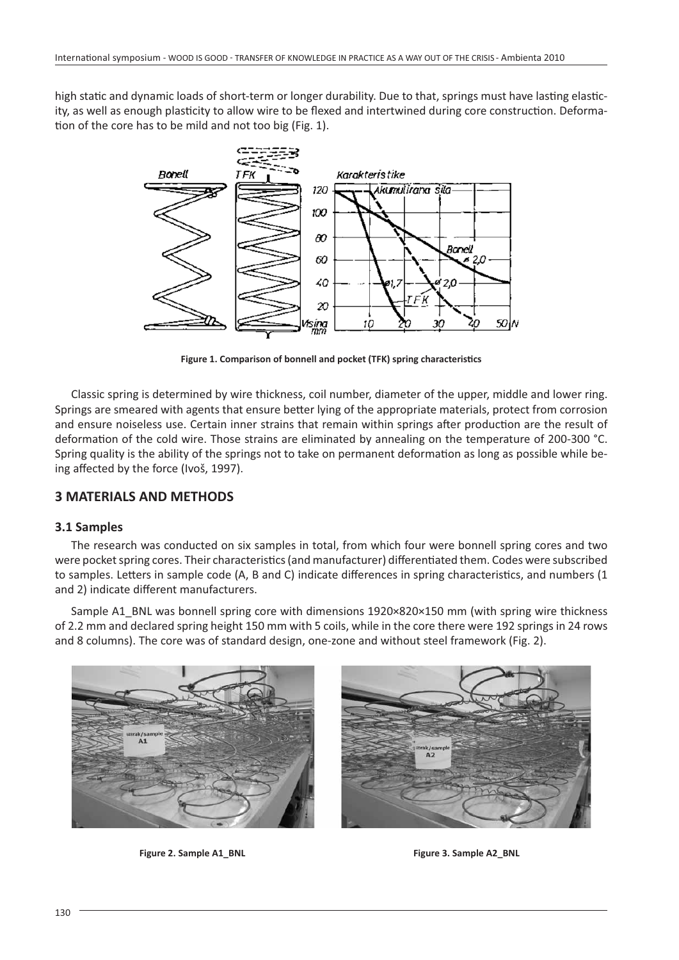high static and dynamic loads of short-term or longer durability. Due to that, springs must have lasting elasticity, as well as enough plasticity to allow wire to be flexed and intertwined during core construction. Deformation of the core has to be mild and not too big (Fig. 1).



Figure 1. Comparison of bonnell and pocket (TFK) spring characteristics

Classic spring is determined by wire thickness, coil number, diameter of the upper, middle and lower ring. Springs are smeared with agents that ensure better lying of the appropriate materials, protect from corrosion and ensure noiseless use. Certain inner strains that remain within springs after production are the result of deformation of the cold wire. Those strains are eliminated by annealing on the temperature of 200-300 °C. Spring quality is the ability of the springs not to take on permanent deformation as long as possible while being affected by the force (Ivoš, 1997).

# **3 MATERIALS AND METHODS**

#### **3.1 Samples**

The research was conducted on six samples in total, from which four were bonnell spring cores and two were pocket spring cores. Their characteristics (and manufacturer) differentiated them. Codes were subscribed to samples. Letters in sample code (A, B and C) indicate differences in spring characteristics, and numbers (1 and 2) indicate different manufacturers.

Sample A1\_BNL was bonnell spring core with dimensions 1920×820×150 mm (with spring wire thickness of 2.2 mm and declared spring height 150 mm with 5 coils, while in the core there were 192 springs in 24 rows and 8 columns). The core was of standard design, one-zone and without steel framework (Fig. 2).





**Figure 2. Sample A1\_BNL Figure 3. Sample A2\_BNL**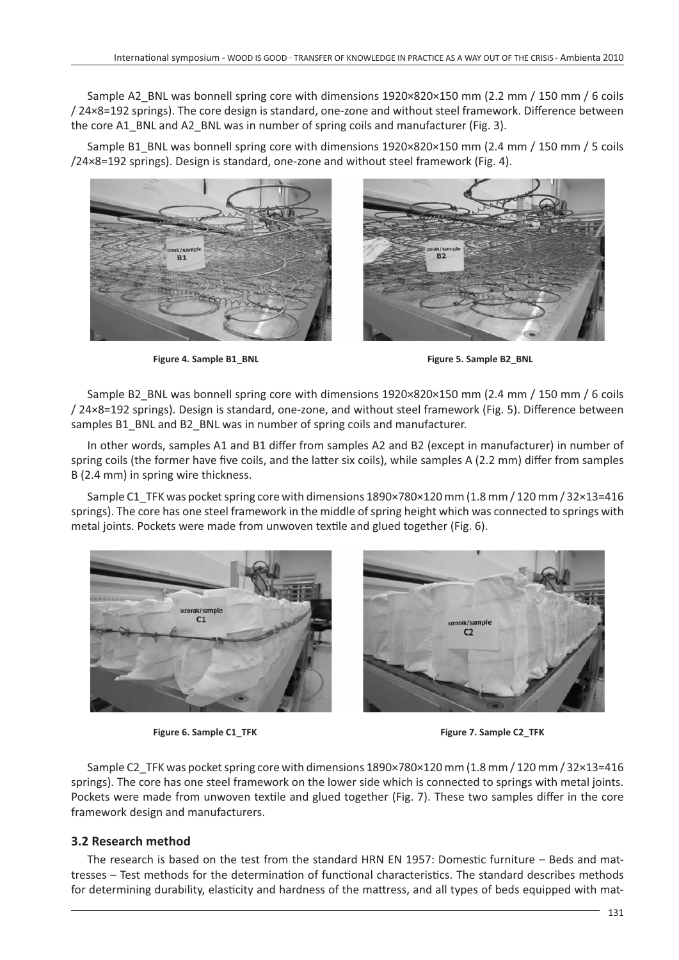Sample A2\_BNL was bonnell spring core with dimensions 1920×820×150 mm (2.2 mm / 150 mm / 6 coils / 24×8=192 springs). The core design is standard, one-zone and without steel framework. Difference between the core A1\_BNL and A2\_BNL was in number of spring coils and manufacturer (Fig. 3).

Sample B1\_BNL was bonnell spring core with dimensions 1920×820×150 mm (2.4 mm / 150 mm / 5 coils /24×8=192 springs). Design is standard, one-zone and without steel framework (Fig. 4).





Sample B2\_BNL was bonnell spring core with dimensions 1920×820×150 mm (2.4 mm / 150 mm / 6 coils / 24×8=192 springs). Design is standard, one-zone, and without steel framework (Fig. 5). Difference between samples B1\_BNL and B2\_BNL was in number of spring coils and manufacturer.

In other words, samples A1 and B1 differ from samples A2 and B2 (except in manufacturer) in number of spring coils (the former have five coils, and the latter six coils), while samples A (2.2 mm) differ from samples B (2.4 mm) in spring wire thickness.

Sample C1\_TFK was pocket spring core with dimensions 1890×780×120 mm (1.8 mm / 120 mm / 32×13=416 springs). The core has one steel framework in the middle of spring height which was connected to springs with metal joints. Pockets were made from unwoven textile and glued together (Fig. 6).



**Figure 6. Sample C1 TFK Figure 7. Sample C2 TFK** 

Sample C2\_TFK was pocket spring core with dimensions 1890×780×120 mm (1.8 mm / 120 mm / 32×13=416 springs). The core has one steel framework on the lower side which is connected to springs with metal joints. Pockets were made from unwoven textile and glued together (Fig. 7). These two samples differ in the core framework design and manufacturers.

# **3.2 Research method**

The research is based on the test from the standard HRN EN 1957: Domestic furniture  $-$  Beds and mattresses – Test methods for the determination of functional characteristics. The standard describes methods for determining durability, elasticity and hardness of the mattress, and all types of beds equipped with mat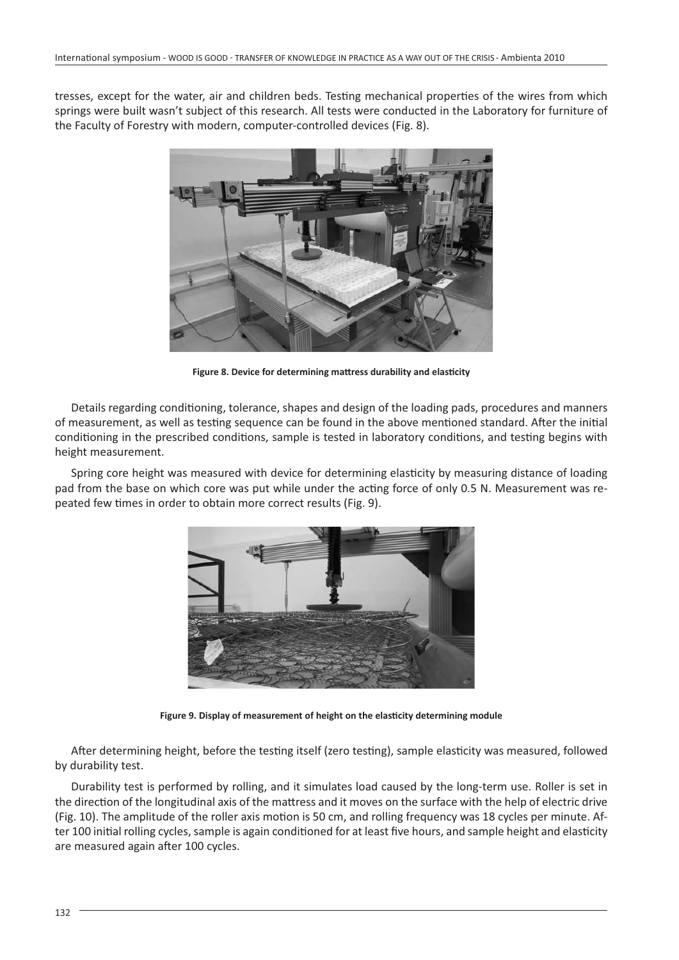tresses, except for the water, air and children beds. Testing mechanical properties of the wires from which springs were built wasn't subject of this research. All tests were conducted in the Laboratory for furniture of the Faculty of Forestry with modern, computer-controlled devices (Fig. 8).



**Figure 8. Device for determining mattress durability and elasticity** 

Details regarding conditioning, tolerance, shapes and design of the loading pads, procedures and manners of measurement, as well as testing sequence can be found in the above mentioned standard. After the initial conditioning in the prescribed conditions, sample is tested in laboratory conditions, and testing begins with height measurement.

Spring core height was measured with device for determining elasticity by measuring distance of loading pad from the base on which core was put while under the acting force of only 0.5 N. Measurement was repeated few times in order to obtain more correct results (Fig. 9).



Figure 9. Display of measurement of height on the elasticity determining module

After determining height, before the testing itself (zero testing), sample elasticity was measured, followed by durability test.

Durability test is performed by rolling, and it simulates load caused by the long-term use. Roller is set in the direction of the longitudinal axis of the mattress and it moves on the surface with the help of electric drive (Fig. 10). The amplitude of the roller axis motion is 50 cm, and rolling frequency was 18 cycles per minute. After 100 initial rolling cycles, sample is again conditioned for at least five hours, and sample height and elasticity are measured again after 100 cycles.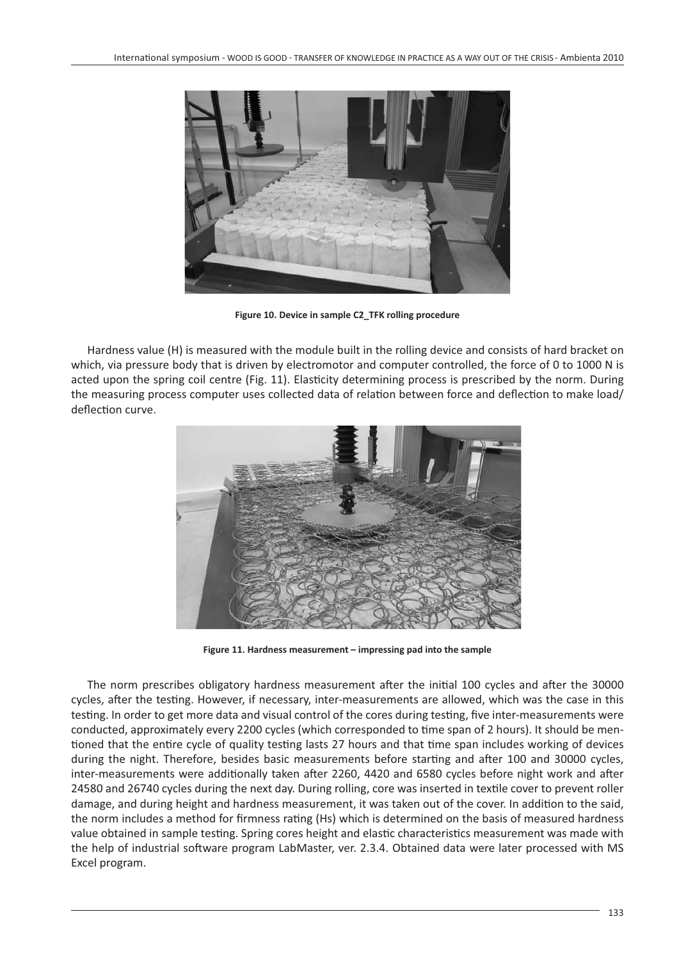

**Figure 10. Device in sample C2\_TFK rolling procedure**

Hardness value (H) is measured with the module built in the rolling device and consists of hard bracket on which, via pressure body that is driven by electromotor and computer controlled, the force of 0 to 1000 N is acted upon the spring coil centre (Fig. 11). Elasticity determining process is prescribed by the norm. During the measuring process computer uses collected data of relation between force and deflection to make load/ deflection curve.



**Figure 11. Hardness measurement – impressing pad into the sample**

The norm prescribes obligatory hardness measurement after the initial 100 cycles and after the 30000 cycles, after the testing. However, if necessary, inter-measurements are allowed, which was the case in this testing. In order to get more data and visual control of the cores during testing, five inter-measurements were conducted, approximately every 2200 cycles (which corresponded to time span of 2 hours). It should be mentioned that the entire cycle of quality testing lasts 27 hours and that time span includes working of devices during the night. Therefore, besides basic measurements before starting and after 100 and 30000 cycles, inter-measurements were additionally taken after 2260, 4420 and 6580 cycles before night work and after 24580 and 26740 cycles during the next day. During rolling, core was inserted in textile cover to prevent roller damage, and during height and hardness measurement, it was taken out of the cover. In addition to the said, the norm includes a method for firmness rating (Hs) which is determined on the basis of measured hardness value obtained in sample testing. Spring cores height and elastic characteristics measurement was made with the help of industrial software program LabMaster, ver. 2.3.4. Obtained data were later processed with MS Excel program.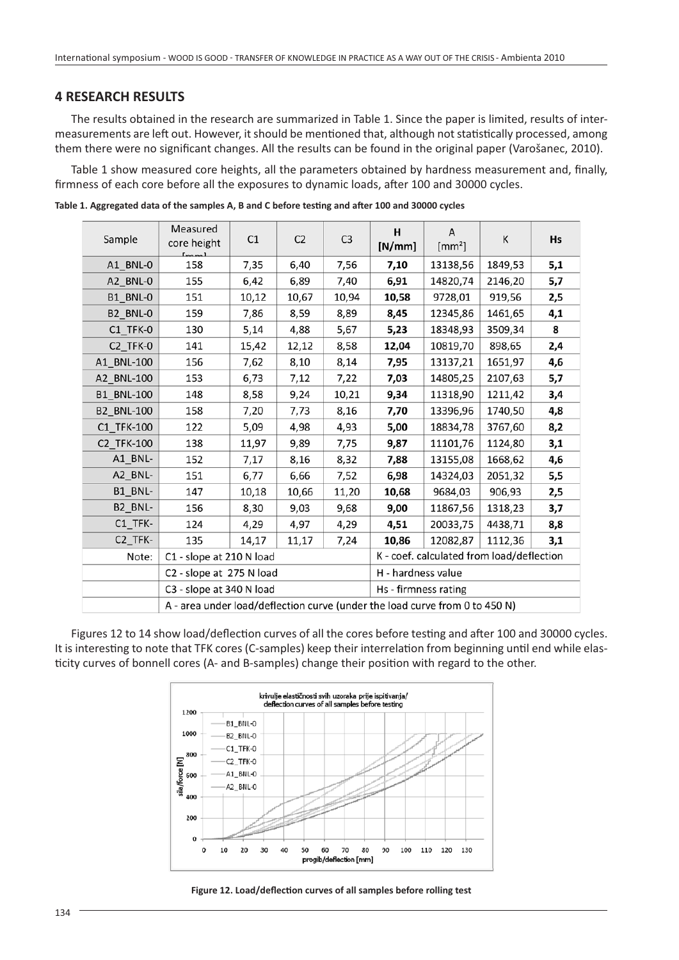# **4 RESEARCH RESULTS**

The results obtained in the research are summarized in Table 1. Since the paper is limited, results of intermeasurements are left out. However, it should be mentioned that, although not statistically processed, among them there were no significant changes. All the results can be found in the original paper (Varošanec, 2010).

Table 1 show measured core heights, all the parameters obtained by hardness measurement and, finally, firmness of each core before all the exposures to dynamic loads, after 100 and 30000 cycles.

| Sample                 | Measured<br>core height                                                     | C1    | C <sub>2</sub> | C <sub>3</sub> | H<br>[N/mm]                               | A<br>$[mm^2]$ | К       | Hs  |
|------------------------|-----------------------------------------------------------------------------|-------|----------------|----------------|-------------------------------------------|---------------|---------|-----|
| A1_BNL-0               | 158                                                                         | 7,35  | 6,40           | 7,56           | 7,10                                      | 13138,56      | 1849,53 | 5,1 |
| A2_BNL-0               | 155                                                                         | 6,42  | 6,89           | 7,40           | 6,91                                      | 14820,74      | 2146,20 | 5,7 |
| B1_BNL-0               | 151                                                                         | 10,12 | 10,67          | 10,94          | 10,58                                     | 9728,01       | 919,56  | 2,5 |
| B2_BNL-0               | 159                                                                         | 7,86  | 8,59           | 8,89           | 8,45                                      | 12345,86      | 1461,65 | 4,1 |
| C1 TFK-0               | 130                                                                         | 5,14  | 4,88           | 5,67           | 5,23                                      | 18348,93      | 3509,34 | 8   |
| C2_TFK-0               | 141                                                                         | 15,42 | 12,12          | 8,58           | 12,04                                     | 10819,70      | 898,65  | 2,4 |
| A1_BNL-100             | 156                                                                         | 7,62  | 8,10           | 8,14           | 7,95                                      | 13137,21      | 1651,97 | 4,6 |
| A2 BNL-100             | 153                                                                         | 6,73  | 7,12           | 7,22           | 7,03                                      | 14805,25      | 2107,63 | 5,7 |
| <b>B1 BNL-100</b>      | 148                                                                         | 8,58  | 9,24           | 10,21          | 9,34                                      | 11318,90      | 1211,42 | 3,4 |
| <b>B2_BNL-100</b>      | 158                                                                         | 7,20  | 7,73           | 8,16           | 7,70                                      | 13396,96      | 1740,50 | 4,8 |
| C1_TFK-100             | 122                                                                         | 5,09  | 4,98           | 4,93           | 5,00                                      | 18834,78      | 3767,60 | 8,2 |
| C2_TFK-100             | 138                                                                         | 11,97 | 9,89           | 7,75           | 9,87                                      | 11101,76      | 1124,80 | 3,1 |
| A1_BNL-                | 152                                                                         | 7,17  | 8,16           | 8,32           | 7,88                                      | 13155,08      | 1668,62 | 4,6 |
| A2_BNL-                | 151                                                                         | 6,77  | 6,66           | 7,52           | 6,98                                      | 14324,03      | 2051,32 | 5,5 |
| B1_BNL-                | 147                                                                         | 10,18 | 10,66          | 11,20          | 10,68                                     | 9684,03       | 906,93  | 2,5 |
| B2_BNL-                | 156                                                                         | 8,30  | 9,03           | 9,68           | 9,00                                      | 11867,56      | 1318,23 | 3,7 |
| $C1$ <sub>_TFK</sub> - | 124                                                                         | 4,29  | 4,97           | 4,29           | 4,51                                      | 20033,75      | 4438,71 | 8,8 |
| C <sub>2_TFK-</sub>    | 135                                                                         | 14,17 | 11,17          | 7,24           | 10,86                                     | 12082,87      | 1112,36 | 3,1 |
| Note:                  | C1 - slope at 210 N load                                                    |       |                |                | K - coef. calculated from load/deflection |               |         |     |
|                        | C2 - slope at 275 N load                                                    |       |                |                | H - hardness value                        |               |         |     |
|                        | C3 - slope at 340 N load                                                    |       |                |                | Hs - firmness rating                      |               |         |     |
|                        | A - area under load/deflection curve (under the load curve from 0 to 450 N) |       |                |                |                                           |               |         |     |

Table 1. Aggregated data of the samples A, B and C before testing and after 100 and 30000 cycles

Figures 12 to 14 show load/deflection curves of all the cores before testing and after 100 and 30000 cycles. It is interesting to note that TFK cores (C-samples) keep their interrelation from beginning until end while elasticity curves of bonnell cores (A- and B-samples) change their position with regard to the other.



Figure 12. Load/deflection curves of all samples before rolling test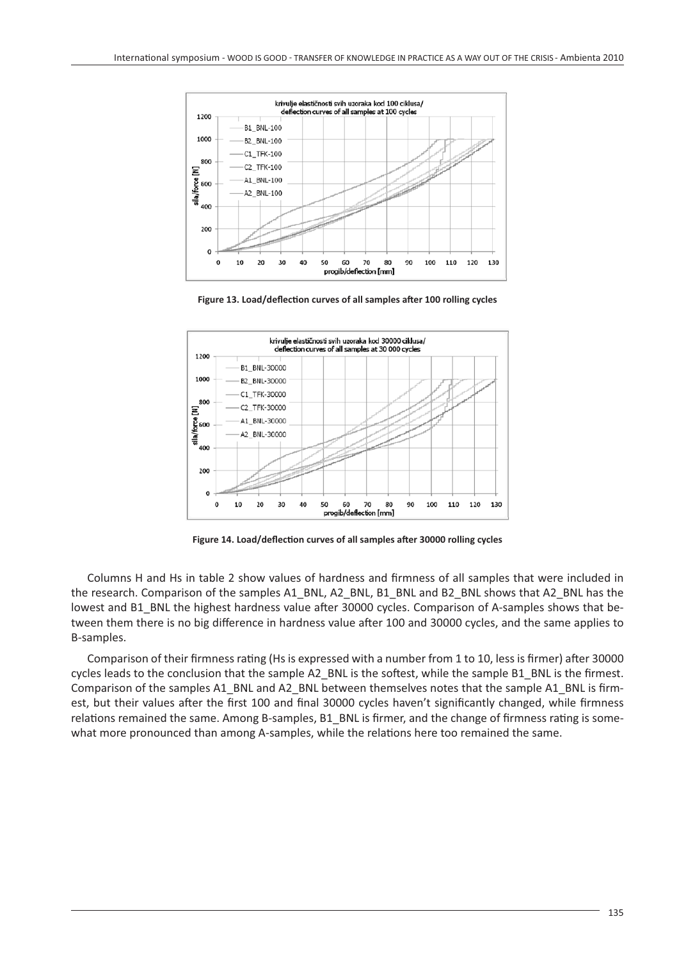

Figure 13. Load/deflection curves of all samples after 100 rolling cycles



Figure 14. Load/deflection curves of all samples after 30000 rolling cycles

Columns H and Hs in table 2 show values of hardness and firmness of all samples that were included in the research. Comparison of the samples A1\_BNL, A2\_BNL, B1\_BNL and B2\_BNL shows that A2\_BNL has the lowest and B1\_BNL the highest hardness value after 30000 cycles. Comparison of A-samples shows that between them there is no big difference in hardness value after 100 and 30000 cycles, and the same applies to B-samples.

Comparison of their firmness rating (Hs is expressed with a number from 1 to 10, less is firmer) after 30000 cycles leads to the conclusion that the sample A2\_BNL is the softest, while the sample B1\_BNL is the firmest. Comparison of the samples A1\_BNL and A2\_BNL between themselves notes that the sample A1\_BNL is firmest, but their values after the first 100 and final 30000 cycles haven't significantly changed, while firmness relations remained the same. Among B-samples, B1\_BNL is firmer, and the change of firmness rating is somewhat more pronounced than among A-samples, while the relations here too remained the same.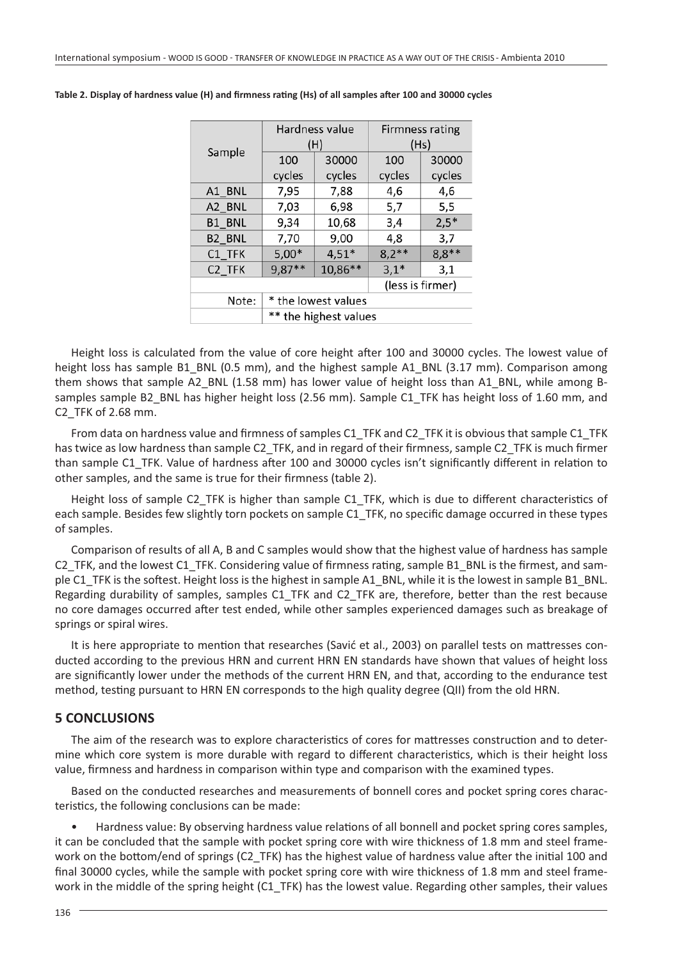|                    |                       | Hardness value<br>(H) | <b>Firmness rating</b><br>(Hs) |         |  |  |  |
|--------------------|-----------------------|-----------------------|--------------------------------|---------|--|--|--|
| Sample             | 100                   | 30000                 | 100                            | 30000   |  |  |  |
|                    | cycles                | cycles                | cycles                         | cycles  |  |  |  |
| A1 BNL             | 7,95                  | 7,88                  | 4,6                            | 4,6     |  |  |  |
| A2 BNL             | 7,03                  | 6,98                  | 5,7                            | 5,5     |  |  |  |
| B1_BNL             | 9,34                  | 10,68                 | 3,4                            | $2,5*$  |  |  |  |
| B <sub>2_BNL</sub> | 7,70                  | 9,00                  | 4,8                            | 3,7     |  |  |  |
| C1 TFK             | $5,00*$               | $4,51*$               | $8,2**$                        | $8,8**$ |  |  |  |
| C2 TFK             | $9,87**$              | 10,86**               | $3,1*$                         | 3,1     |  |  |  |
|                    |                       | (less is firmer)      |                                |         |  |  |  |
| Note:              | * the lowest values   |                       |                                |         |  |  |  |
|                    | ** the highest values |                       |                                |         |  |  |  |

Table 2. Display of hardness value (H) and firmness rating (Hs) of all samples after 100 and 30000 cycles

Height loss is calculated from the value of core height after 100 and 30000 cycles. The lowest value of height loss has sample B1\_BNL (0.5 mm), and the highest sample A1\_BNL (3.17 mm). Comparison among them shows that sample A2\_BNL (1.58 mm) has lower value of height loss than A1\_BNL, while among Bsamples sample B2\_BNL has higher height loss (2.56 mm). Sample C1\_TFK has height loss of 1.60 mm, and C2\_TFK of 2.68 mm.

From data on hardness value and firmness of samples C1\_TFK and C2\_TFK it is obvious that sample C1\_TFK has twice as low hardness than sample C2\_TFK, and in regard of their firmness, sample C2\_TFK is much firmer than sample C1\_TFK. Value of hardness after 100 and 30000 cycles isn't significantly different in relation to other samples, and the same is true for their firmness (table 2).

Height loss of sample C2\_TFK is higher than sample C1\_TFK, which is due to different characteristics of each sample. Besides few slightly torn pockets on sample C1\_TFK, no specific damage occurred in these types of samples.

Comparison of results of all A, B and C samples would show that the highest value of hardness has sample C2\_TFK, and the lowest C1\_TFK. Considering value of firmness rating, sample B1\_BNL is the firmest, and sample C1\_TFK is the softest. Height loss is the highest in sample A1\_BNL, while it is the lowest in sample B1\_BNL. Regarding durability of samples, samples C1\_TFK and C2\_TFK are, therefore, better than the rest because no core damages occurred after test ended, while other samples experienced damages such as breakage of springs or spiral wires.

It is here appropriate to mention that researches (Savić et al., 2003) on parallel tests on mattresses conducted according to the previous HRN and current HRN EN standards have shown that values of height loss are significantly lower under the methods of the current HRN EN, and that, according to the endurance test method, testing pursuant to HRN EN corresponds to the high quality degree (QII) from the old HRN.

#### **5 CONCLUSIONS**

The aim of the research was to explore characteristics of cores for mattresses construction and to determine which core system is more durable with regard to different characteristics, which is their height loss value, firmness and hardness in comparison within type and comparison with the examined types.

Based on the conducted researches and measurements of bonnell cores and pocket spring cores characteristics, the following conclusions can be made:

• Hardness value: By observing hardness value relations of all bonnell and pocket spring cores samples, it can be concluded that the sample with pocket spring core with wire thickness of 1.8 mm and steel framework on the bottom/end of springs (C2\_TFK) has the highest value of hardness value after the initial 100 and final 30000 cycles, while the sample with pocket spring core with wire thickness of 1.8 mm and steel framework in the middle of the spring height (C1\_TFK) has the lowest value. Regarding other samples, their values